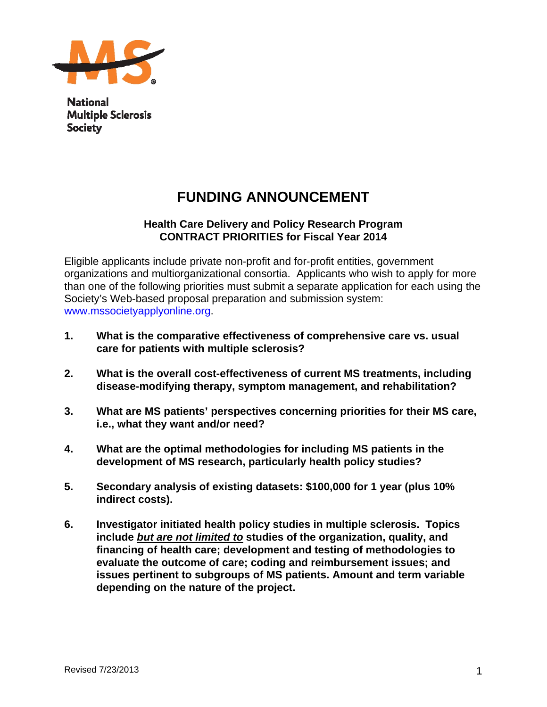

**National Multiple Sclerosis Society** 

# **FUNDING ANNOUNCEMENT**

# **Health Care Delivery and Policy Research Program CONTRACT PRIORITIES for Fiscal Year 2014**

Eligible applicants include private non-profit and for-profit entities, government organizations and multiorganizational consortia. Applicants who wish to apply for more than one of the following priorities must submit a separate application for each using the Society's Web-based proposal preparation and submission system: www.mssocietyapplyonline.org.

- **1. What is the comparative effectiveness of comprehensive care vs. usual care for patients with multiple sclerosis?**
- **2. What is the overall cost-effectiveness of current MS treatments, including disease-modifying therapy, symptom management, and rehabilitation?**
- **3. What are MS patients' perspectives concerning priorities for their MS care, i.e., what they want and/or need?**
- **4. What are the optimal methodologies for including MS patients in the development of MS research, particularly health policy studies?**
- **5. Secondary analysis of existing datasets: \$100,000 for 1 year (plus 10% indirect costs).**
- **6. Investigator initiated health policy studies in multiple sclerosis. Topics include** *but are not limited to* **studies of the organization, quality, and financing of health care; development and testing of methodologies to evaluate the outcome of care; coding and reimbursement issues; and issues pertinent to subgroups of MS patients. Amount and term variable depending on the nature of the project.**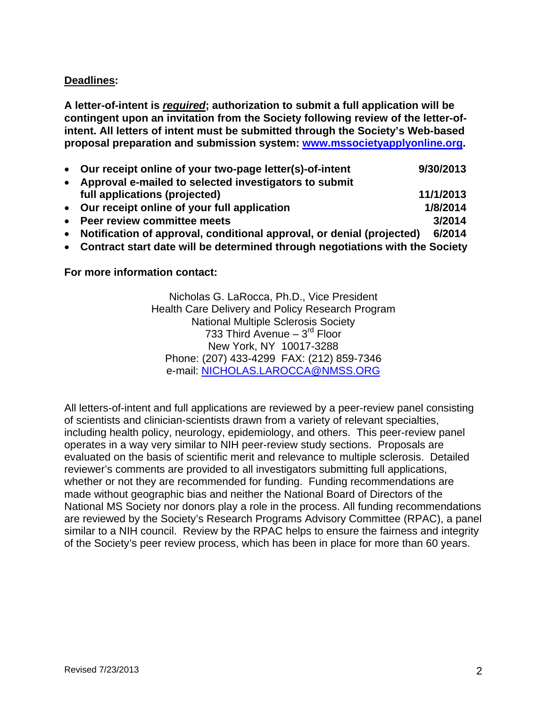# **Deadlines:**

**A letter-of-intent is** *required***; authorization to submit a full application will be contingent upon an invitation from the Society following review of the letter-ofintent. All letters of intent must be submitted through the Society's Web-based proposal preparation and submission system: www.mssocietyapplyonline.org.** 

|           | • Our receipt online of your two-page letter(s)-of-intent               | 9/30/2013 |
|-----------|-------------------------------------------------------------------------|-----------|
| $\bullet$ | Approval e-mailed to selected investigators to submit                   |           |
|           | full applications (projected)                                           | 11/1/2013 |
|           | • Our receipt online of your full application                           | 1/8/2014  |
|           | • Peer review committee meets                                           | 3/2014    |
|           | • Notification of approval, conditional approval, or denial (projected) | 6/2014    |

**Contract start date will be determined through negotiations with the Society** 

**For more information contact:** 

Nicholas G. LaRocca, Ph.D., Vice President Health Care Delivery and Policy Research Program National Multiple Sclerosis Society 733 Third Avenue  $-3<sup>rd</sup>$  Floor New York, NY 10017-3288 Phone: (207) 433-4299 FAX: (212) 859-7346 e-mail: NICHOLAS.LAROCCA@NMSS.ORG

All letters-of-intent and full applications are reviewed by a peer-review panel consisting of scientists and clinician-scientists drawn from a variety of relevant specialties, including health policy, neurology, epidemiology, and others. This peer-review panel operates in a way very similar to NIH peer-review study sections. Proposals are evaluated on the basis of scientific merit and relevance to multiple sclerosis. Detailed reviewer's comments are provided to all investigators submitting full applications, whether or not they are recommended for funding. Funding recommendations are made without geographic bias and neither the National Board of Directors of the National MS Society nor donors play a role in the process. All funding recommendations are reviewed by the Society's Research Programs Advisory Committee (RPAC), a panel similar to a NIH council. Review by the RPAC helps to ensure the fairness and integrity of the Society's peer review process, which has been in place for more than 60 years.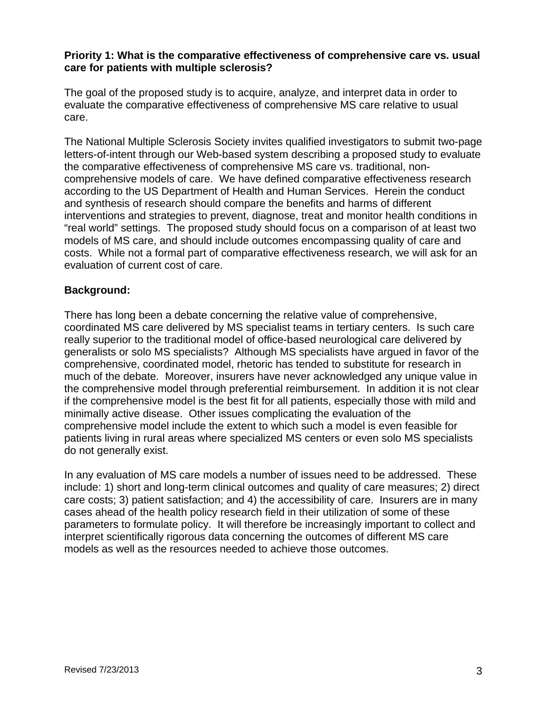#### **Priority 1: What is the comparative effectiveness of comprehensive care vs. usual care for patients with multiple sclerosis?**

The goal of the proposed study is to acquire, analyze, and interpret data in order to evaluate the comparative effectiveness of comprehensive MS care relative to usual care.

The National Multiple Sclerosis Society invites qualified investigators to submit two-page letters-of-intent through our Web-based system describing a proposed study to evaluate the comparative effectiveness of comprehensive MS care vs. traditional, noncomprehensive models of care. We have defined comparative effectiveness research according to the US Department of Health and Human Services. Herein the conduct and synthesis of research should compare the benefits and harms of different interventions and strategies to prevent, diagnose, treat and monitor health conditions in "real world" settings. The proposed study should focus on a comparison of at least two models of MS care, and should include outcomes encompassing quality of care and costs. While not a formal part of comparative effectiveness research, we will ask for an evaluation of current cost of care.

# **Background:**

There has long been a debate concerning the relative value of comprehensive, coordinated MS care delivered by MS specialist teams in tertiary centers. Is such care really superior to the traditional model of office-based neurological care delivered by generalists or solo MS specialists? Although MS specialists have argued in favor of the comprehensive, coordinated model, rhetoric has tended to substitute for research in much of the debate. Moreover, insurers have never acknowledged any unique value in the comprehensive model through preferential reimbursement. In addition it is not clear if the comprehensive model is the best fit for all patients, especially those with mild and minimally active disease. Other issues complicating the evaluation of the comprehensive model include the extent to which such a model is even feasible for patients living in rural areas where specialized MS centers or even solo MS specialists do not generally exist.

In any evaluation of MS care models a number of issues need to be addressed. These include: 1) short and long-term clinical outcomes and quality of care measures; 2) direct care costs; 3) patient satisfaction; and 4) the accessibility of care. Insurers are in many cases ahead of the health policy research field in their utilization of some of these parameters to formulate policy. It will therefore be increasingly important to collect and interpret scientifically rigorous data concerning the outcomes of different MS care models as well as the resources needed to achieve those outcomes.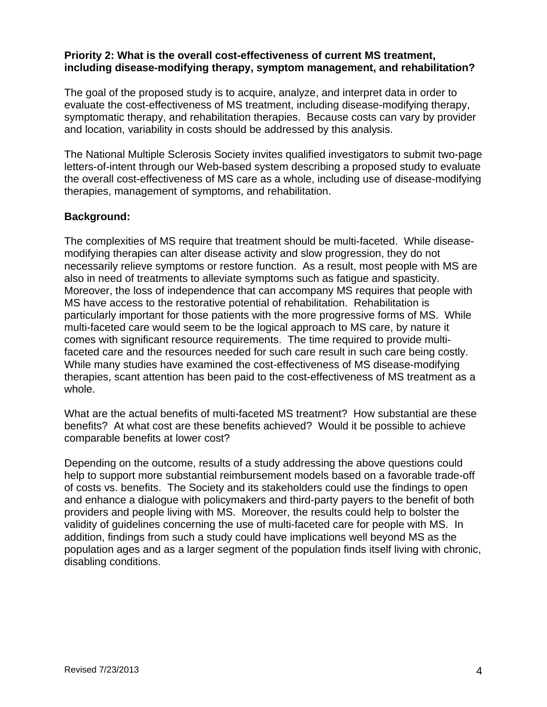#### **Priority 2: What is the overall cost-effectiveness of current MS treatment, including disease-modifying therapy, symptom management, and rehabilitation?**

The goal of the proposed study is to acquire, analyze, and interpret data in order to evaluate the cost-effectiveness of MS treatment, including disease-modifying therapy, symptomatic therapy, and rehabilitation therapies. Because costs can vary by provider and location, variability in costs should be addressed by this analysis.

The National Multiple Sclerosis Society invites qualified investigators to submit two-page letters-of-intent through our Web-based system describing a proposed study to evaluate the overall cost-effectiveness of MS care as a whole, including use of disease-modifying therapies, management of symptoms, and rehabilitation.

#### **Background:**

The complexities of MS require that treatment should be multi-faceted. While diseasemodifying therapies can alter disease activity and slow progression, they do not necessarily relieve symptoms or restore function. As a result, most people with MS are also in need of treatments to alleviate symptoms such as fatigue and spasticity. Moreover, the loss of independence that can accompany MS requires that people with MS have access to the restorative potential of rehabilitation. Rehabilitation is particularly important for those patients with the more progressive forms of MS. While multi-faceted care would seem to be the logical approach to MS care, by nature it comes with significant resource requirements. The time required to provide multifaceted care and the resources needed for such care result in such care being costly. While many studies have examined the cost-effectiveness of MS disease-modifying therapies, scant attention has been paid to the cost-effectiveness of MS treatment as a whole.

What are the actual benefits of multi-faceted MS treatment? How substantial are these benefits? At what cost are these benefits achieved? Would it be possible to achieve comparable benefits at lower cost?

Depending on the outcome, results of a study addressing the above questions could help to support more substantial reimbursement models based on a favorable trade-off of costs vs. benefits. The Society and its stakeholders could use the findings to open and enhance a dialogue with policymakers and third-party payers to the benefit of both providers and people living with MS. Moreover, the results could help to bolster the validity of guidelines concerning the use of multi-faceted care for people with MS. In addition, findings from such a study could have implications well beyond MS as the population ages and as a larger segment of the population finds itself living with chronic, disabling conditions.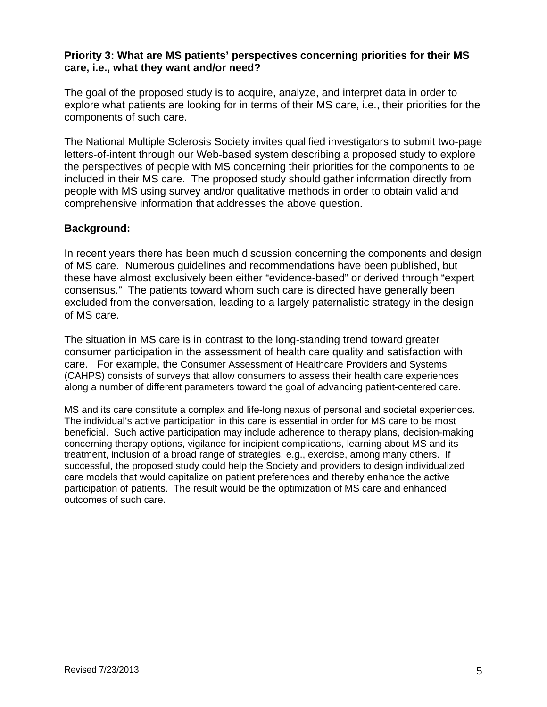#### **Priority 3: What are MS patients' perspectives concerning priorities for their MS care, i.e., what they want and/or need?**

The goal of the proposed study is to acquire, analyze, and interpret data in order to explore what patients are looking for in terms of their MS care, i.e., their priorities for the components of such care.

The National Multiple Sclerosis Society invites qualified investigators to submit two-page letters-of-intent through our Web-based system describing a proposed study to explore the perspectives of people with MS concerning their priorities for the components to be included in their MS care. The proposed study should gather information directly from people with MS using survey and/or qualitative methods in order to obtain valid and comprehensive information that addresses the above question.

#### **Background:**

In recent years there has been much discussion concerning the components and design of MS care. Numerous guidelines and recommendations have been published, but these have almost exclusively been either "evidence-based" or derived through "expert consensus." The patients toward whom such care is directed have generally been excluded from the conversation, leading to a largely paternalistic strategy in the design of MS care.

The situation in MS care is in contrast to the long-standing trend toward greater consumer participation in the assessment of health care quality and satisfaction with care. For example, the Consumer Assessment of Healthcare Providers and Systems (CAHPS) consists of surveys that allow consumers to assess their health care experiences along a number of different parameters toward the goal of advancing patient-centered care.

MS and its care constitute a complex and life-long nexus of personal and societal experiences. The individual's active participation in this care is essential in order for MS care to be most beneficial. Such active participation may include adherence to therapy plans, decision-making concerning therapy options, vigilance for incipient complications, learning about MS and its treatment, inclusion of a broad range of strategies, e.g., exercise, among many others. If successful, the proposed study could help the Society and providers to design individualized care models that would capitalize on patient preferences and thereby enhance the active participation of patients. The result would be the optimization of MS care and enhanced outcomes of such care.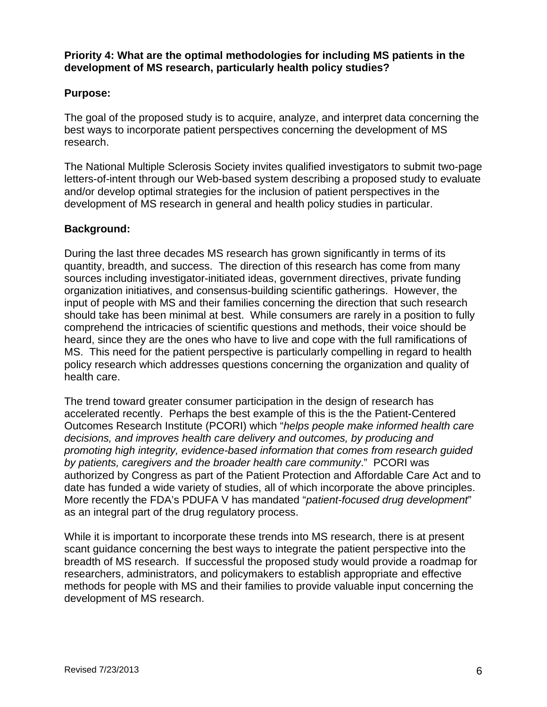**Priority 4: What are the optimal methodologies for including MS patients in the development of MS research, particularly health policy studies?** 

#### **Purpose:**

The goal of the proposed study is to acquire, analyze, and interpret data concerning the best ways to incorporate patient perspectives concerning the development of MS research.

The National Multiple Sclerosis Society invites qualified investigators to submit two-page letters-of-intent through our Web-based system describing a proposed study to evaluate and/or develop optimal strategies for the inclusion of patient perspectives in the development of MS research in general and health policy studies in particular.

#### **Background:**

During the last three decades MS research has grown significantly in terms of its quantity, breadth, and success. The direction of this research has come from many sources including investigator-initiated ideas, government directives, private funding organization initiatives, and consensus-building scientific gatherings. However, the input of people with MS and their families concerning the direction that such research should take has been minimal at best. While consumers are rarely in a position to fully comprehend the intricacies of scientific questions and methods, their voice should be heard, since they are the ones who have to live and cope with the full ramifications of MS. This need for the patient perspective is particularly compelling in regard to health policy research which addresses questions concerning the organization and quality of health care.

The trend toward greater consumer participation in the design of research has accelerated recently. Perhaps the best example of this is the the Patient-Centered Outcomes Research Institute (PCORI) which "*helps people make informed health care decisions, and improves health care delivery and outcomes, by producing and promoting high integrity, evidence-based information that comes from research guided by patients, caregivers and the broader health care community*." PCORI was authorized by Congress as part of the Patient Protection and Affordable Care Act and to date has funded a wide variety of studies, all of which incorporate the above principles. More recently the FDA's PDUFA V has mandated "*patient-focused drug development*" as an integral part of the drug regulatory process.

While it is important to incorporate these trends into MS research, there is at present scant guidance concerning the best ways to integrate the patient perspective into the breadth of MS research. If successful the proposed study would provide a roadmap for researchers, administrators, and policymakers to establish appropriate and effective methods for people with MS and their families to provide valuable input concerning the development of MS research.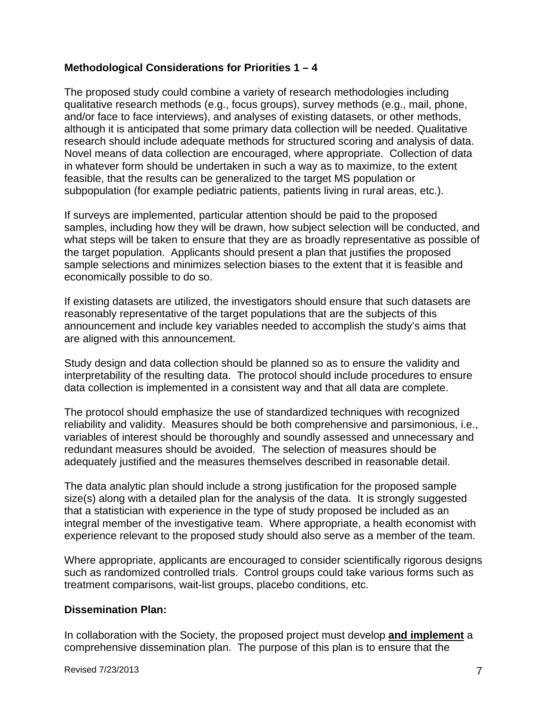#### **Methodological Considerations for Priorities 1 – 4**

The proposed study could combine a variety of research methodologies including qualitative research methods (e.g., focus groups), survey methods (e.g., mail, phone, and/or face to face interviews), and analyses of existing datasets, or other methods, although it is anticipated that some primary data collection will be needed. Qualitative research should include adequate methods for structured scoring and analysis of data. Novel means of data collection are encouraged, where appropriate. Collection of data in whatever form should be undertaken in such a way as to maximize, to the extent feasible, that the results can be generalized to the target MS population or subpopulation (for example pediatric patients, patients living in rural areas, etc.).

If surveys are implemented, particular attention should be paid to the proposed samples, including how they will be drawn, how subject selection will be conducted, and what steps will be taken to ensure that they are as broadly representative as possible of the target population. Applicants should present a plan that justifies the proposed sample selections and minimizes selection biases to the extent that it is feasible and economically possible to do so.

If existing datasets are utilized, the investigators should ensure that such datasets are reasonably representative of the target populations that are the subjects of this announcement and include key variables needed to accomplish the study's aims that are aligned with this announcement.

Study design and data collection should be planned so as to ensure the validity and interpretability of the resulting data. The protocol should include procedures to ensure data collection is implemented in a consistent way and that all data are complete.

The protocol should emphasize the use of standardized techniques with recognized reliability and validity. Measures should be both comprehensive and parsimonious, i.e., variables of interest should be thoroughly and soundly assessed and unnecessary and redundant measures should be avoided. The selection of measures should be adequately justified and the measures themselves described in reasonable detail.

The data analytic plan should include a strong justification for the proposed sample size(s) along with a detailed plan for the analysis of the data. It is strongly suggested that a statistician with experience in the type of study proposed be included as an integral member of the investigative team. Where appropriate, a health economist with experience relevant to the proposed study should also serve as a member of the team.

Where appropriate, applicants are encouraged to consider scientifically rigorous designs such as randomized controlled trials. Control groups could take various forms such as treatment comparisons, wait-list groups, placebo conditions, etc.

#### **Dissemination Plan:**

In collaboration with the Society, the proposed project must develop **and implement** a comprehensive dissemination plan. The purpose of this plan is to ensure that the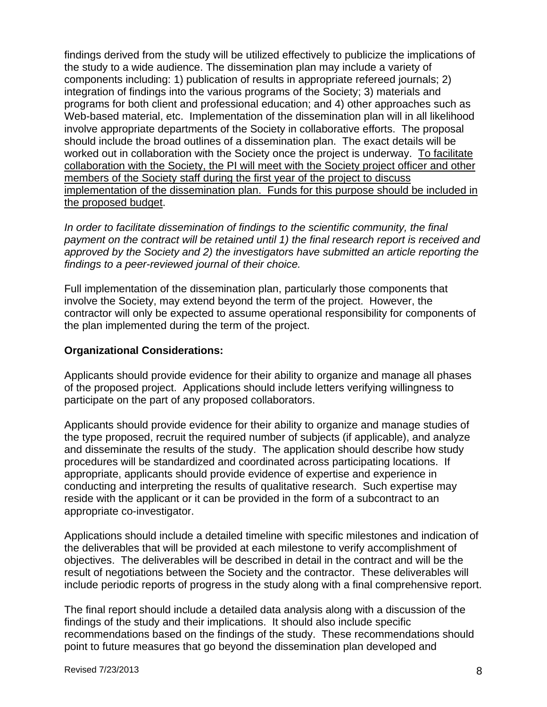findings derived from the study will be utilized effectively to publicize the implications of the study to a wide audience. The dissemination plan may include a variety of components including: 1) publication of results in appropriate refereed journals; 2) integration of findings into the various programs of the Society; 3) materials and programs for both client and professional education; and 4) other approaches such as Web-based material, etc. Implementation of the dissemination plan will in all likelihood involve appropriate departments of the Society in collaborative efforts. The proposal should include the broad outlines of a dissemination plan. The exact details will be worked out in collaboration with the Society once the project is underway. To facilitate collaboration with the Society, the PI will meet with the Society project officer and other members of the Society staff during the first year of the project to discuss implementation of the dissemination plan. Funds for this purpose should be included in the proposed budget.

*In order to facilitate dissemination of findings to the scientific community, the final payment on the contract will be retained until 1) the final research report is received and approved by the Society and 2) the investigators have submitted an article reporting the findings to a peer-reviewed journal of their choice.*

Full implementation of the dissemination plan, particularly those components that involve the Society, may extend beyond the term of the project. However, the contractor will only be expected to assume operational responsibility for components of the plan implemented during the term of the project.

#### **Organizational Considerations:**

Applicants should provide evidence for their ability to organize and manage all phases of the proposed project. Applications should include letters verifying willingness to participate on the part of any proposed collaborators.

Applicants should provide evidence for their ability to organize and manage studies of the type proposed, recruit the required number of subjects (if applicable), and analyze and disseminate the results of the study. The application should describe how study procedures will be standardized and coordinated across participating locations. If appropriate, applicants should provide evidence of expertise and experience in conducting and interpreting the results of qualitative research. Such expertise may reside with the applicant or it can be provided in the form of a subcontract to an appropriate co-investigator.

Applications should include a detailed timeline with specific milestones and indication of the deliverables that will be provided at each milestone to verify accomplishment of objectives. The deliverables will be described in detail in the contract and will be the result of negotiations between the Society and the contractor. These deliverables will include periodic reports of progress in the study along with a final comprehensive report.

The final report should include a detailed data analysis along with a discussion of the findings of the study and their implications. It should also include specific recommendations based on the findings of the study. These recommendations should point to future measures that go beyond the dissemination plan developed and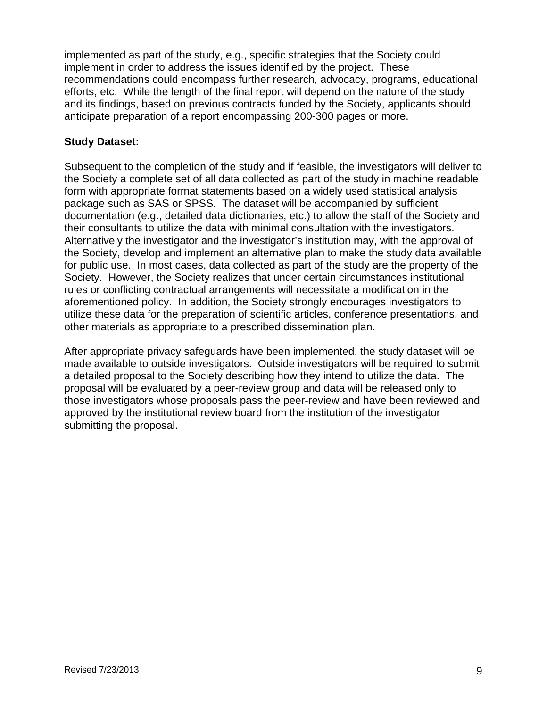implemented as part of the study, e.g., specific strategies that the Society could implement in order to address the issues identified by the project. These recommendations could encompass further research, advocacy, programs, educational efforts, etc. While the length of the final report will depend on the nature of the study and its findings, based on previous contracts funded by the Society, applicants should anticipate preparation of a report encompassing 200-300 pages or more.

#### **Study Dataset:**

Subsequent to the completion of the study and if feasible, the investigators will deliver to the Society a complete set of all data collected as part of the study in machine readable form with appropriate format statements based on a widely used statistical analysis package such as SAS or SPSS. The dataset will be accompanied by sufficient documentation (e.g., detailed data dictionaries, etc.) to allow the staff of the Society and their consultants to utilize the data with minimal consultation with the investigators. Alternatively the investigator and the investigator's institution may, with the approval of the Society, develop and implement an alternative plan to make the study data available for public use. In most cases, data collected as part of the study are the property of the Society. However, the Society realizes that under certain circumstances institutional rules or conflicting contractual arrangements will necessitate a modification in the aforementioned policy. In addition, the Society strongly encourages investigators to utilize these data for the preparation of scientific articles, conference presentations, and other materials as appropriate to a prescribed dissemination plan.

After appropriate privacy safeguards have been implemented, the study dataset will be made available to outside investigators. Outside investigators will be required to submit a detailed proposal to the Society describing how they intend to utilize the data. The proposal will be evaluated by a peer-review group and data will be released only to those investigators whose proposals pass the peer-review and have been reviewed and approved by the institutional review board from the institution of the investigator submitting the proposal.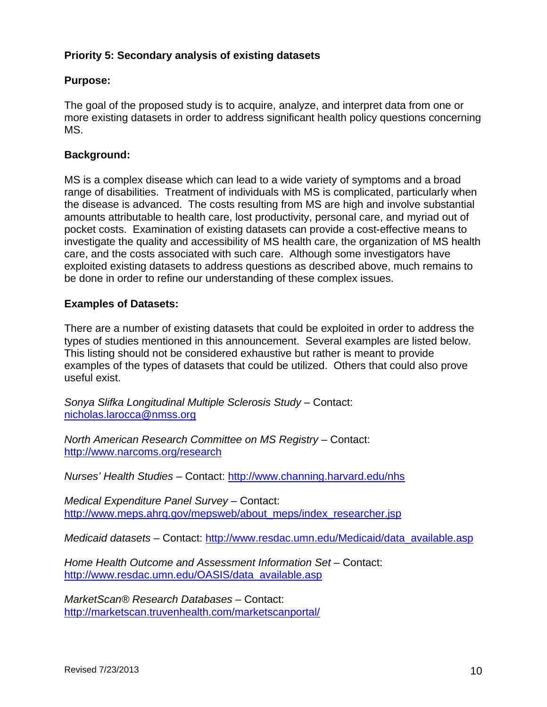# **Priority 5: Secondary analysis of existing datasets**

# **Purpose:**

The goal of the proposed study is to acquire, analyze, and interpret data from one or more existing datasets in order to address significant health policy questions concerning MS.

#### **Background:**

MS is a complex disease which can lead to a wide variety of symptoms and a broad range of disabilities. Treatment of individuals with MS is complicated, particularly when the disease is advanced. The costs resulting from MS are high and involve substantial amounts attributable to health care, lost productivity, personal care, and myriad out of pocket costs. Examination of existing datasets can provide a cost-effective means to investigate the quality and accessibility of MS health care, the organization of MS health care, and the costs associated with such care. Although some investigators have exploited existing datasets to address questions as described above, much remains to be done in order to refine our understanding of these complex issues.

#### **Examples of Datasets:**

There are a number of existing datasets that could be exploited in order to address the types of studies mentioned in this announcement. Several examples are listed below. This listing should not be considered exhaustive but rather is meant to provide examples of the types of datasets that could be utilized. Others that could also prove useful exist.

*Sonya Slifka Longitudinal Multiple Sclerosis Study* – Contact: nicholas.larocca@nmss.org

*North American Research Committee on MS Registry –* Contact: http://www.narcoms.org/research

*Nurses' Health Studies –* Contact: http://www.channing.harvard.edu/nhs

*Medical Expenditure Panel Survey –* Contact: http://www.meps.ahrg.gov/mepsweb/about\_meps/index\_researcher.jsp

*Medicaid datasets –* Contact: http://www.resdac.umn.edu/Medicaid/data\_available.asp

*Home Health Outcome and Assessment Information Set –* Contact: http://www.resdac.umn.edu/OASIS/data\_available.asp

*MarketScan® Research Databases –* Contact: http://marketscan.truvenhealth.com/marketscanportal/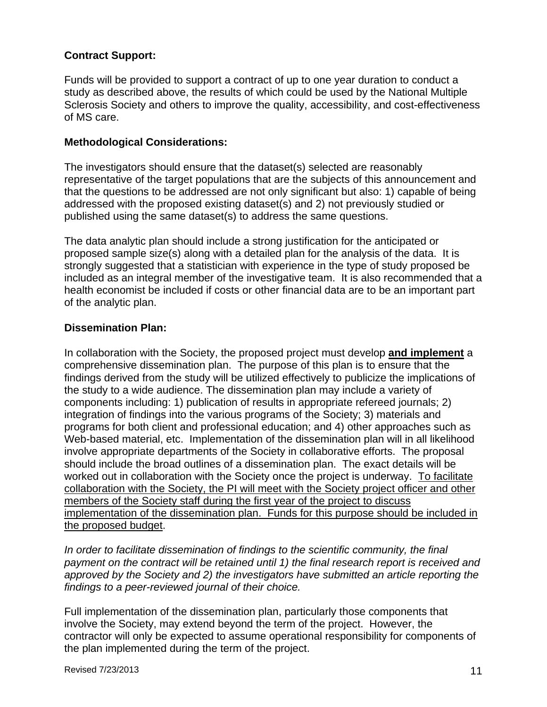# **Contract Support:**

Funds will be provided to support a contract of up to one year duration to conduct a study as described above, the results of which could be used by the National Multiple Sclerosis Society and others to improve the quality, accessibility, and cost-effectiveness of MS care.

#### **Methodological Considerations:**

The investigators should ensure that the dataset(s) selected are reasonably representative of the target populations that are the subjects of this announcement and that the questions to be addressed are not only significant but also: 1) capable of being addressed with the proposed existing dataset(s) and 2) not previously studied or published using the same dataset(s) to address the same questions.

The data analytic plan should include a strong justification for the anticipated or proposed sample size(s) along with a detailed plan for the analysis of the data. It is strongly suggested that a statistician with experience in the type of study proposed be included as an integral member of the investigative team. It is also recommended that a health economist be included if costs or other financial data are to be an important part of the analytic plan.

#### **Dissemination Plan:**

In collaboration with the Society, the proposed project must develop **and implement** a comprehensive dissemination plan. The purpose of this plan is to ensure that the findings derived from the study will be utilized effectively to publicize the implications of the study to a wide audience. The dissemination plan may include a variety of components including: 1) publication of results in appropriate refereed journals; 2) integration of findings into the various programs of the Society; 3) materials and programs for both client and professional education; and 4) other approaches such as Web-based material, etc. Implementation of the dissemination plan will in all likelihood involve appropriate departments of the Society in collaborative efforts. The proposal should include the broad outlines of a dissemination plan. The exact details will be worked out in collaboration with the Society once the project is underway. To facilitate collaboration with the Society, the PI will meet with the Society project officer and other members of the Society staff during the first year of the project to discuss implementation of the dissemination plan. Funds for this purpose should be included in the proposed budget.

*In order to facilitate dissemination of findings to the scientific community, the final payment on the contract will be retained until 1) the final research report is received and approved by the Society and 2) the investigators have submitted an article reporting the findings to a peer-reviewed journal of their choice.*

Full implementation of the dissemination plan, particularly those components that involve the Society, may extend beyond the term of the project. However, the contractor will only be expected to assume operational responsibility for components of the plan implemented during the term of the project.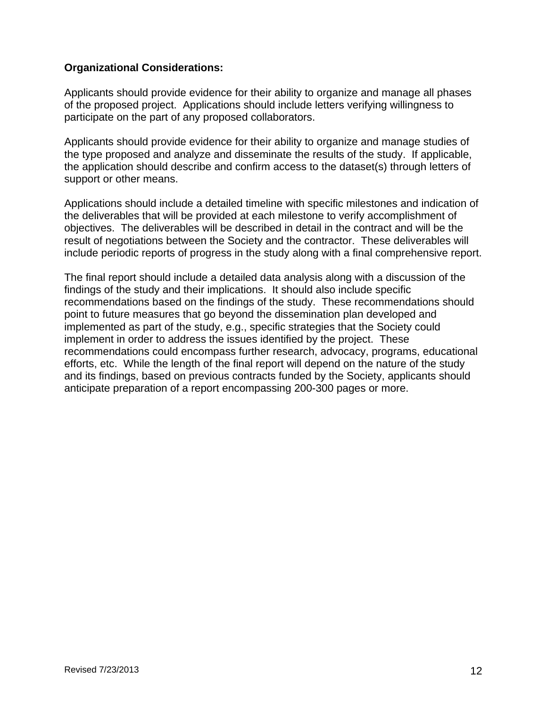#### **Organizational Considerations:**

Applicants should provide evidence for their ability to organize and manage all phases of the proposed project. Applications should include letters verifying willingness to participate on the part of any proposed collaborators.

Applicants should provide evidence for their ability to organize and manage studies of the type proposed and analyze and disseminate the results of the study. If applicable, the application should describe and confirm access to the dataset(s) through letters of support or other means.

Applications should include a detailed timeline with specific milestones and indication of the deliverables that will be provided at each milestone to verify accomplishment of objectives. The deliverables will be described in detail in the contract and will be the result of negotiations between the Society and the contractor. These deliverables will include periodic reports of progress in the study along with a final comprehensive report.

The final report should include a detailed data analysis along with a discussion of the findings of the study and their implications. It should also include specific recommendations based on the findings of the study. These recommendations should point to future measures that go beyond the dissemination plan developed and implemented as part of the study, e.g., specific strategies that the Society could implement in order to address the issues identified by the project. These recommendations could encompass further research, advocacy, programs, educational efforts, etc. While the length of the final report will depend on the nature of the study and its findings, based on previous contracts funded by the Society, applicants should anticipate preparation of a report encompassing 200-300 pages or more.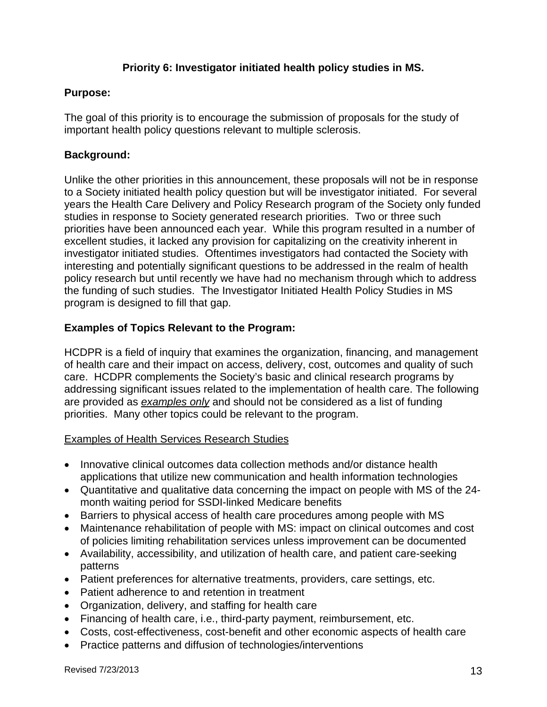#### **Priority 6: Investigator initiated health policy studies in MS.**

#### **Purpose:**

The goal of this priority is to encourage the submission of proposals for the study of important health policy questions relevant to multiple sclerosis.

# **Background:**

Unlike the other priorities in this announcement, these proposals will not be in response to a Society initiated health policy question but will be investigator initiated. For several years the Health Care Delivery and Policy Research program of the Society only funded studies in response to Society generated research priorities. Two or three such priorities have been announced each year. While this program resulted in a number of excellent studies, it lacked any provision for capitalizing on the creativity inherent in investigator initiated studies. Oftentimes investigators had contacted the Society with interesting and potentially significant questions to be addressed in the realm of health policy research but until recently we have had no mechanism through which to address the funding of such studies. The Investigator Initiated Health Policy Studies in MS program is designed to fill that gap.

# **Examples of Topics Relevant to the Program:**

HCDPR is a field of inquiry that examines the organization, financing, and management of health care and their impact on access, delivery, cost, outcomes and quality of such care. HCDPR complements the Society's basic and clinical research programs by addressing significant issues related to the implementation of health care. The following are provided as *examples only* and should not be considered as a list of funding priorities. Many other topics could be relevant to the program.

#### Examples of Health Services Research Studies

- Innovative clinical outcomes data collection methods and/or distance health applications that utilize new communication and health information technologies
- Quantitative and qualitative data concerning the impact on people with MS of the 24 month waiting period for SSDI-linked Medicare benefits
- Barriers to physical access of health care procedures among people with MS
- Maintenance rehabilitation of people with MS: impact on clinical outcomes and cost of policies limiting rehabilitation services unless improvement can be documented
- Availability, accessibility, and utilization of health care, and patient care-seeking patterns
- Patient preferences for alternative treatments, providers, care settings, etc.
- Patient adherence to and retention in treatment
- Organization, delivery, and staffing for health care
- Financing of health care, i.e., third-party payment, reimbursement, etc.
- Costs, cost-effectiveness, cost-benefit and other economic aspects of health care
- Practice patterns and diffusion of technologies/interventions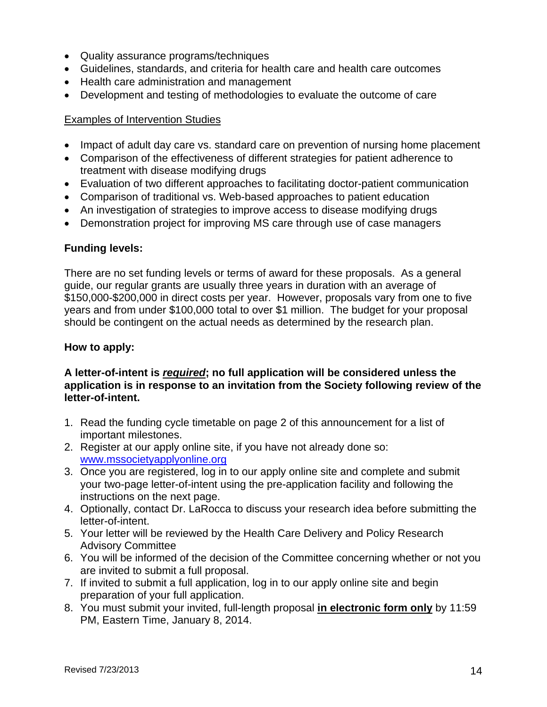- Quality assurance programs/techniques
- Guidelines, standards, and criteria for health care and health care outcomes
- Health care administration and management
- Development and testing of methodologies to evaluate the outcome of care

#### Examples of Intervention Studies

- Impact of adult day care vs. standard care on prevention of nursing home placement
- Comparison of the effectiveness of different strategies for patient adherence to treatment with disease modifying drugs
- Evaluation of two different approaches to facilitating doctor-patient communication
- Comparison of traditional vs. Web-based approaches to patient education
- An investigation of strategies to improve access to disease modifying drugs
- Demonstration project for improving MS care through use of case managers

#### **Funding levels:**

There are no set funding levels or terms of award for these proposals. As a general guide, our regular grants are usually three years in duration with an average of \$150,000-\$200,000 in direct costs per year. However, proposals vary from one to five years and from under \$100,000 total to over \$1 million. The budget for your proposal should be contingent on the actual needs as determined by the research plan.

#### **How to apply:**

#### **A letter-of-intent is** *required***; no full application will be considered unless the application is in response to an invitation from the Society following review of the letter-of-intent.**

- 1. Read the funding cycle timetable on page 2 of this announcement for a list of important milestones.
- 2. Register at our apply online site, if you have not already done so: www.mssocietyapplyonline.org
- 3. Once you are registered, log in to our apply online site and complete and submit your two-page letter-of-intent using the pre-application facility and following the instructions on the next page.
- 4. Optionally, contact Dr. LaRocca to discuss your research idea before submitting the letter-of-intent.
- 5. Your letter will be reviewed by the Health Care Delivery and Policy Research Advisory Committee
- 6. You will be informed of the decision of the Committee concerning whether or not you are invited to submit a full proposal.
- 7. If invited to submit a full application, log in to our apply online site and begin preparation of your full application.
- 8. You must submit your invited, full-length proposal **in electronic form only** by 11:59 PM, Eastern Time, January 8, 2014.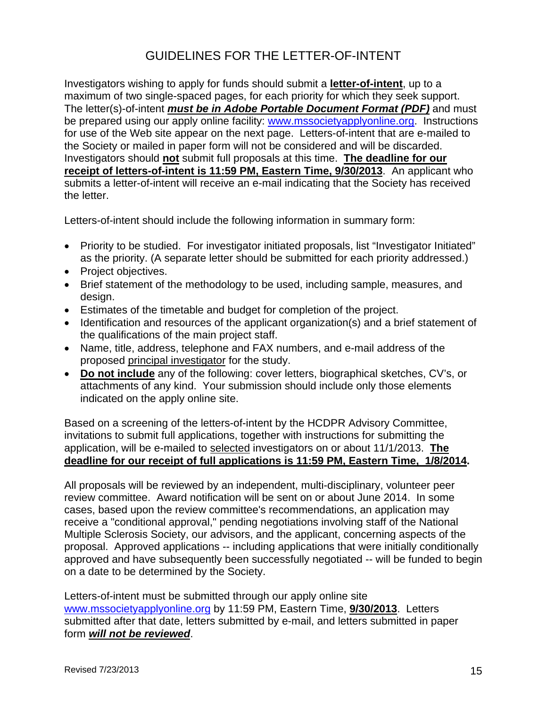# GUIDELINES FOR THE LETTER-OF-INTENT

Investigators wishing to apply for funds should submit a **letter-of-intent**, up to a maximum of two single-spaced pages, for each priority for which they seek support. The letter(s)-of-intent *must be in Adobe Portable Document Format (PDF)* and must be prepared using our apply online facility: www.mssocietyapplyonline.org. Instructions for use of the Web site appear on the next page. Letters-of-intent that are e-mailed to the Society or mailed in paper form will not be considered and will be discarded. Investigators should **not** submit full proposals at this time. **The deadline for our receipt of letters-of-intent is 11:59 PM, Eastern Time, 9/30/2013**. An applicant who submits a letter-of-intent will receive an e-mail indicating that the Society has received the letter.

Letters-of-intent should include the following information in summary form:

- Priority to be studied. For investigator initiated proposals, list "Investigator Initiated" as the priority. (A separate letter should be submitted for each priority addressed.)
- Project objectives.
- Brief statement of the methodology to be used, including sample, measures, and design.
- Estimates of the timetable and budget for completion of the project.
- Identification and resources of the applicant organization(s) and a brief statement of the qualifications of the main project staff.
- Name, title, address, telephone and FAX numbers, and e-mail address of the proposed principal investigator for the study.
- **Do not include** any of the following: cover letters, biographical sketches, CV's, or attachments of any kind. Your submission should include only those elements indicated on the apply online site.

Based on a screening of the letters-of-intent by the HCDPR Advisory Committee, invitations to submit full applications, together with instructions for submitting the application, will be e-mailed to selected investigators on or about 11/1/2013. **The deadline for our receipt of full applications is 11:59 PM, Eastern Time, 1/8/2014.** 

All proposals will be reviewed by an independent, multi-disciplinary, volunteer peer review committee. Award notification will be sent on or about June 2014. In some cases, based upon the review committee's recommendations, an application may receive a "conditional approval," pending negotiations involving staff of the National Multiple Sclerosis Society, our advisors, and the applicant, concerning aspects of the proposal. Approved applications -- including applications that were initially conditionally approved and have subsequently been successfully negotiated -- will be funded to begin on a date to be determined by the Society.

Letters-of-intent must be submitted through our apply online site www.mssocietyapplyonline.org by 11:59 PM, Eastern Time, **9/30/2013**. Letters submitted after that date, letters submitted by e-mail, and letters submitted in paper form *will not be reviewed*.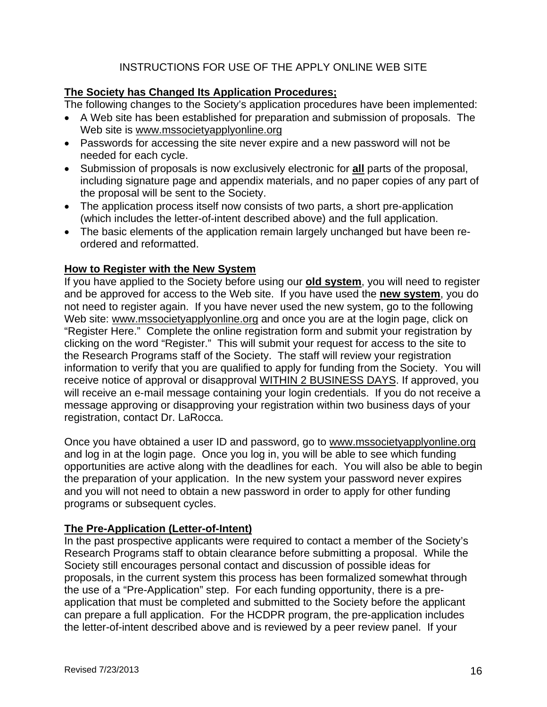# INSTRUCTIONS FOR USE OF THE APPLY ONLINE WEB SITE

#### **The Society has Changed Its Application Procedures;**

The following changes to the Society's application procedures have been implemented:

- A Web site has been established for preparation and submission of proposals. The Web site is www.mssocietyapplyonline.org
- Passwords for accessing the site never expire and a new password will not be needed for each cycle.
- Submission of proposals is now exclusively electronic for **all** parts of the proposal, including signature page and appendix materials, and no paper copies of any part of the proposal will be sent to the Society.
- The application process itself now consists of two parts, a short pre-application (which includes the letter-of-intent described above) and the full application.
- The basic elements of the application remain largely unchanged but have been reordered and reformatted.

#### **How to Register with the New System**

If you have applied to the Society before using our **old system**, you will need to register and be approved for access to the Web site. If you have used the **new system**, you do not need to register again. If you have never used the new system, go to the following Web site: www.mssocietyapplyonline.org and once you are at the login page, click on "Register Here." Complete the online registration form and submit your registration by clicking on the word "Register." This will submit your request for access to the site to the Research Programs staff of the Society. The staff will review your registration information to verify that you are qualified to apply for funding from the Society. You will receive notice of approval or disapproval WITHIN 2 BUSINESS DAYS. If approved, you will receive an e-mail message containing your login credentials. If you do not receive a message approving or disapproving your registration within two business days of your registration, contact Dr. LaRocca.

Once you have obtained a user ID and password, go to www.mssocietyapplyonline.org and log in at the login page. Once you log in, you will be able to see which funding opportunities are active along with the deadlines for each. You will also be able to begin the preparation of your application. In the new system your password never expires and you will not need to obtain a new password in order to apply for other funding programs or subsequent cycles.

#### **The Pre-Application (Letter-of-Intent)**

In the past prospective applicants were required to contact a member of the Society's Research Programs staff to obtain clearance before submitting a proposal. While the Society still encourages personal contact and discussion of possible ideas for proposals, in the current system this process has been formalized somewhat through the use of a "Pre-Application" step. For each funding opportunity, there is a preapplication that must be completed and submitted to the Society before the applicant can prepare a full application. For the HCDPR program, the pre-application includes the letter-of-intent described above and is reviewed by a peer review panel. If your